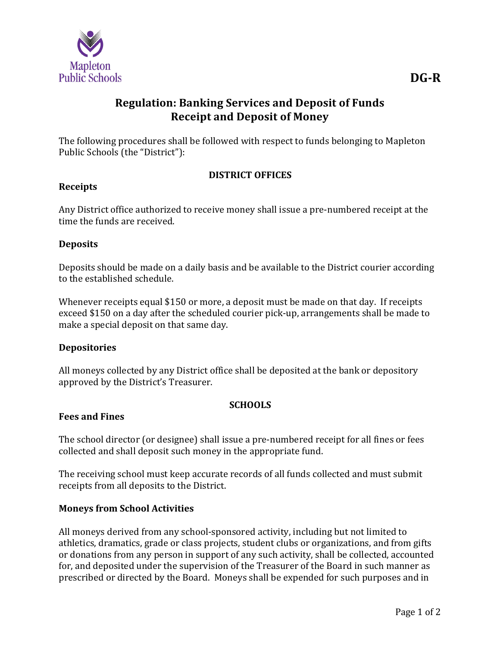

# **Regulation: Banking Services and Deposit of Funds Receipt and Deposit of Money**

The following procedures shall be followed with respect to funds belonging to Mapleton Public Schools (the "District"):

# **DISTRICT OFFICES**

#### **Receipts**

Any District office authorized to receive money shall issue a pre-numbered receipt at the time the funds are received.

#### **Deposits**

Deposits should be made on a daily basis and be available to the District courier according to the established schedule.

Whenever receipts equal \$150 or more, a deposit must be made on that day. If receipts exceed \$150 on a day after the scheduled courier pick-up, arrangements shall be made to make a special deposit on that same day.

#### **Depositories**

All moneys collected by any District office shall be deposited at the bank or depository approved by the District's Treasurer.

# **SCHOOLS**

#### **Fees and Fines**

The school director (or designee) shall issue a pre-numbered receipt for all fines or fees collected and shall deposit such money in the appropriate fund.

The receiving school must keep accurate records of all funds collected and must submit receipts from all deposits to the District.

# **Moneys from School Activities**

All moneys derived from any school-sponsored activity, including but not limited to athletics, dramatics, grade or class projects, student clubs or organizations, and from gifts or donations from any person in support of any such activity, shall be collected, accounted for, and deposited under the supervision of the Treasurer of the Board in such manner as prescribed or directed by the Board. Moneys shall be expended for such purposes and in